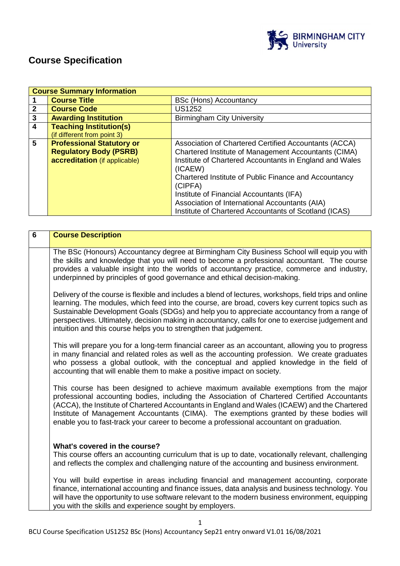

# **Course Specification**

|                         | <b>Course Summary Information</b>                                                                  |                                                                                                                                                                                                                                                                                                                                                                                                                |  |  |
|-------------------------|----------------------------------------------------------------------------------------------------|----------------------------------------------------------------------------------------------------------------------------------------------------------------------------------------------------------------------------------------------------------------------------------------------------------------------------------------------------------------------------------------------------------------|--|--|
|                         | <b>Course Title</b>                                                                                | <b>BSc (Hons) Accountancy</b>                                                                                                                                                                                                                                                                                                                                                                                  |  |  |
| $\mathbf{2}$            | <b>Course Code</b>                                                                                 | <b>US1252</b>                                                                                                                                                                                                                                                                                                                                                                                                  |  |  |
| $\mathbf{3}$            | <b>Awarding Institution</b>                                                                        | <b>Birmingham City University</b>                                                                                                                                                                                                                                                                                                                                                                              |  |  |
| $\overline{\mathbf{4}}$ | <b>Teaching Institution(s)</b><br>(if different from point 3)                                      |                                                                                                                                                                                                                                                                                                                                                                                                                |  |  |
| 5                       | <b>Professional Statutory or</b><br><b>Regulatory Body (PSRB)</b><br>accreditation (if applicable) | Association of Chartered Certified Accountants (ACCA)<br>Chartered Institute of Management Accountants (CIMA)<br>Institute of Chartered Accountants in England and Wales<br>(ICAEW)<br>Chartered Institute of Public Finance and Accountancy<br>(CIPFA)<br>Institute of Financial Accountants (IFA)<br>Association of International Accountants (AIA)<br>Institute of Chartered Accountants of Scotland (ICAS) |  |  |

| $6\phantom{1}$ | <b>Course Description</b>                                                                                                                                                                                                                                                                                                                                                                                                                                                          |
|----------------|------------------------------------------------------------------------------------------------------------------------------------------------------------------------------------------------------------------------------------------------------------------------------------------------------------------------------------------------------------------------------------------------------------------------------------------------------------------------------------|
|                | The BSc (Honours) Accountancy degree at Birmingham City Business School will equip you with<br>the skills and knowledge that you will need to become a professional accountant. The course<br>provides a valuable insight into the worlds of accountancy practice, commerce and industry,<br>underpinned by principles of good governance and ethical decision-making.                                                                                                             |
|                | Delivery of the course is flexible and includes a blend of lectures, workshops, field trips and online<br>learning. The modules, which feed into the course, are broad, covers key current topics such as<br>Sustainable Development Goals (SDGs) and help you to appreciate accountancy from a range of<br>perspectives. Ultimately, decision making in accountancy, calls for one to exercise judgement and<br>intuition and this course helps you to strengthen that judgement. |
|                | This will prepare you for a long-term financial career as an accountant, allowing you to progress<br>in many financial and related roles as well as the accounting profession. We create graduates<br>who possess a global outlook, with the conceptual and applied knowledge in the field of<br>accounting that will enable them to make a positive impact on society.                                                                                                            |
|                | This course has been designed to achieve maximum available exemptions from the major<br>professional accounting bodies, including the Association of Chartered Certified Accountants<br>(ACCA), the Institute of Chartered Accountants in England and Wales (ICAEW) and the Chartered<br>Institute of Management Accountants (CIMA). The exemptions granted by these bodies will<br>enable you to fast-track your career to become a professional accountant on graduation.        |
|                | What's covered in the course?<br>This course offers an accounting curriculum that is up to date, vocationally relevant, challenging<br>and reflects the complex and challenging nature of the accounting and business environment.                                                                                                                                                                                                                                                 |
|                | You will build expertise in areas including financial and management accounting, corporate<br>finance, international accounting and finance issues, data analysis and business technology. You<br>will have the opportunity to use software relevant to the modern business environment, equipping<br>you with the skills and experience sought by employers.                                                                                                                      |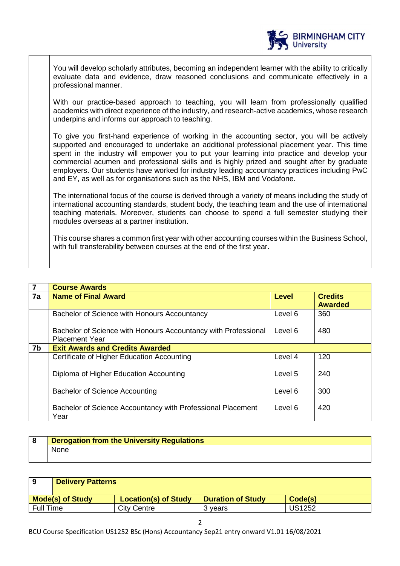

You will develop scholarly attributes, becoming an independent learner with the ability to critically evaluate data and evidence, draw reasoned conclusions and communicate effectively in a professional manner.

With our practice-based approach to teaching, you will learn from professionally qualified academics with direct experience of the industry, and research-active academics, whose research underpins and informs our approach to teaching.

To give you first-hand experience of working in the accounting sector, you will be actively supported and encouraged to undertake an additional professional placement year. This time spent in the industry will empower you to put your learning into practice and develop your commercial acumen and professional skills and is highly prized and sought after by graduate employers. Our students have worked for industry leading accountancy practices including PwC and EY, as well as for organisations such as the NHS, IBM and Vodafone.

The international focus of the course is derived through a variety of means including the study of international accounting standards, student body, the teaching team and the use of international teaching materials. Moreover, students can choose to spend a full semester studying their modules overseas at a partner institution.

This course shares a common first year with other accounting courses within the Business School, with full transferability between courses at the end of the first year.

| $\overline{7}$ | <b>Course Awards</b>                                                                    |              |                                  |  |
|----------------|-----------------------------------------------------------------------------------------|--------------|----------------------------------|--|
| 7a             | <b>Name of Final Award</b>                                                              | <b>Level</b> | <b>Credits</b><br><b>Awarded</b> |  |
|                | Bachelor of Science with Honours Accountancy                                            | Level 6      | 360                              |  |
|                | Bachelor of Science with Honours Accountancy with Professional<br><b>Placement Year</b> | Level 6      | 480                              |  |
| 7b             | <b>Exit Awards and Credits Awarded</b>                                                  |              |                                  |  |
|                | Certificate of Higher Education Accounting                                              | Level 4      | 120                              |  |
|                | Diploma of Higher Education Accounting                                                  | Level 5      | 240                              |  |
|                | <b>Bachelor of Science Accounting</b>                                                   | Level 6      | 300                              |  |
|                | Bachelor of Science Accountancy with Professional Placement<br>Year                     | Level 6      | 420                              |  |

| <b>Derogation from the University Regulations</b> |
|---------------------------------------------------|
| <b>None</b>                                       |

| 9                | <b>Delivery Patterns</b>                                                                      |             |         |               |  |
|------------------|-----------------------------------------------------------------------------------------------|-------------|---------|---------------|--|
|                  | <b>Location(s) of Study</b><br><b>Mode(s) of Study</b><br><b>Duration of Study</b><br>Code(s) |             |         |               |  |
| <b>Full Time</b> |                                                                                               | City Centre | 3 vears | <b>US1252</b> |  |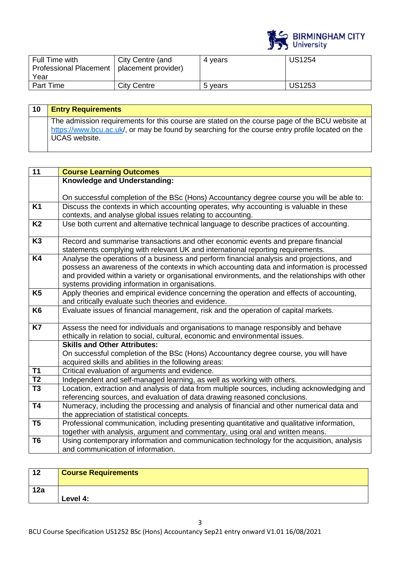

| Full Time with<br>Professional Placement   placement provider)<br>Year | City Centre (and | 4 years | <b>US1254</b> |
|------------------------------------------------------------------------|------------------|---------|---------------|
| Part Time                                                              | City Centre      | 5 years | <b>US1253</b> |

| 10 | <b>Entry Requirements</b>                                                                                                                                                                                                  |
|----|----------------------------------------------------------------------------------------------------------------------------------------------------------------------------------------------------------------------------|
|    | The admission requirements for this course are stated on the course page of the BCU website at<br>https://www.bcu.ac.uk/, or may be found by searching for the course entry profile located on the<br><b>UCAS</b> website. |

| $\overline{11}$ | <b>Course Learning Outcomes</b>                                                                                                              |
|-----------------|----------------------------------------------------------------------------------------------------------------------------------------------|
|                 | Knowledge and Understanding:                                                                                                                 |
|                 |                                                                                                                                              |
|                 | On successful completion of the BSc (Hons) Accountancy degree course you will be able to:                                                    |
| <b>K1</b>       | Discuss the contexts in which accounting operates, why accounting is valuable in these                                                       |
|                 | contexts, and analyse global issues relating to accounting.                                                                                  |
| K <sub>2</sub>  | Use both current and alternative technical language to describe practices of accounting.                                                     |
| K3              |                                                                                                                                              |
|                 | Record and summarise transactions and other economic events and prepare financial                                                            |
| K <sub>4</sub>  | statements complying with relevant UK and international reporting requirements.                                                              |
|                 | Analyse the operations of a business and perform financial analysis and projections, and                                                     |
|                 | possess an awareness of the contexts in which accounting data and information is processed                                                   |
|                 | and provided within a variety or organisational environments, and the relationships with other                                               |
| K <sub>5</sub>  | systems providing information in organisations.<br>Apply theories and empirical evidence concerning the operation and effects of accounting, |
|                 | and critically evaluate such theories and evidence.                                                                                          |
| K <sub>6</sub>  | Evaluate issues of financial management, risk and the operation of capital markets.                                                          |
|                 |                                                                                                                                              |
| <b>K7</b>       | Assess the need for individuals and organisations to manage responsibly and behave                                                           |
|                 | ethically in relation to social, cultural, economic and environmental issues.                                                                |
|                 | <b>Skills and Other Attributes:</b>                                                                                                          |
|                 | On successful completion of the BSc (Hons) Accountancy degree course, you will have                                                          |
|                 | acquired skills and abilities in the following areas:                                                                                        |
| T1              | Critical evaluation of arguments and evidence.                                                                                               |
| T <sub>2</sub>  | Independent and self-managed learning, as well as working with others.                                                                       |
| T <sub>3</sub>  | Location, extraction and analysis of data from multiple sources, including acknowledging and                                                 |
|                 | referencing sources, and evaluation of data drawing reasoned conclusions.                                                                    |
| <b>T4</b>       | Numeracy, including the processing and analysis of financial and other numerical data and                                                    |
|                 | the appreciation of statistical concepts.                                                                                                    |
| T <sub>5</sub>  | Professional communication, including presenting quantitative and qualitative information,                                                   |
|                 | together with analysis, argument and commentary, using oral and written means.                                                               |
| T <sub>6</sub>  | Using contemporary information and communication technology for the acquisition, analysis                                                    |
|                 | and communication of information.                                                                                                            |

| 12  | <b>Course Requirements</b> |
|-----|----------------------------|
| 12a | Level 4:                   |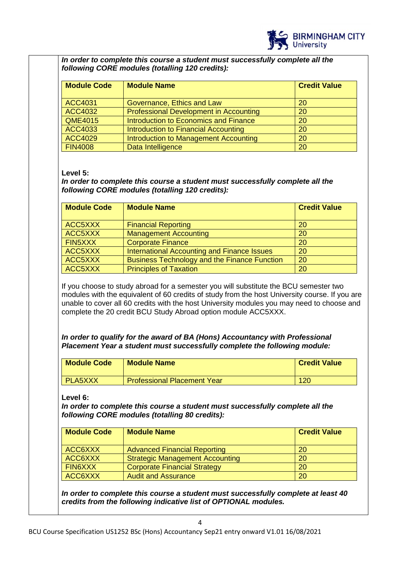

*In order to complete this course a student must successfully complete all the following CORE modules (totalling 120 credits):*

| <b>Module Code</b> | <b>Module Name</b>                            | <b>Credit Value</b> |
|--------------------|-----------------------------------------------|---------------------|
| <b>ACC4031</b>     | Governance, Ethics and Law                    | 20                  |
| <b>ACC4032</b>     | <b>Professional Development in Accounting</b> | 20                  |
| <b>QME4015</b>     | <b>Introduction to Economics and Finance</b>  | 20                  |
| ACC4033            | Introduction to Financial Accounting          | 20                  |
| <b>ACC4029</b>     | Introduction to Management Accounting         | 20                  |
| <b>FIN4008</b>     | Data Intelligence                             | 20                  |

#### **Level 5:**

*In order to complete this course a student must successfully complete all the following CORE modules (totalling 120 credits):*

| <b>Module Code</b> | <b>Module Name</b>                                  | <b>Credit Value</b> |
|--------------------|-----------------------------------------------------|---------------------|
| ACC5XXX            | <b>Financial Reporting</b>                          | 20                  |
| ACC5XXX            | <b>Management Accounting</b>                        | 20                  |
| FIN5XXX            | <b>Corporate Finance</b>                            | 20                  |
| ACC5XXX            | International Accounting and Finance Issues         | 20                  |
| ACC5XXX            | <b>Business Technology and the Finance Function</b> | 20                  |
| ACC5XXX            | <b>Principles of Taxation</b>                       | 20                  |

If you choose to study abroad for a semester you will substitute the BCU semester two modules with the equivalent of 60 credits of study from the host University course. If you are unable to cover all 60 credits with the host University modules you may need to choose and complete the 20 credit BCU Study Abroad option module ACC5XXX.

*In order to qualify for the award of BA (Hons) Accountancy with Professional Placement Year a student must successfully complete the following module:*

| <b>Module Code</b> | <b>Module Name</b>                 | <b>Credit Value</b> |
|--------------------|------------------------------------|---------------------|
| I PLA5XXX          | <b>Professional Placement Year</b> | 120                 |

**Level 6:**

*In order to complete this course a student must successfully complete all the following CORE modules (totalling 80 credits):*

| Module Code    | <b>Module Name</b>                     | <b>Credit Value</b> |
|----------------|----------------------------------------|---------------------|
| ACC6XXX        | <b>Advanced Financial Reporting</b>    | <b>20</b>           |
| ACC6XXX        | <b>Strategic Management Accounting</b> | 20                  |
| <b>FIN6XXX</b> | <b>Corporate Financial Strategy</b>    | 20                  |
| ACC6XXX        | <b>Audit and Assurance</b>             | 20                  |

*In order to complete this course a student must successfully complete at least 40 credits from the following indicative list of OPTIONAL modules.*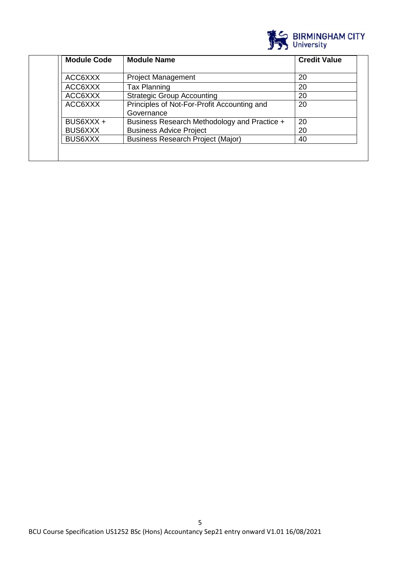

| <b>Module Code</b> | <b>Module Name</b>                                        | <b>Credit Value</b> |
|--------------------|-----------------------------------------------------------|---------------------|
| ACC6XXX            | <b>Project Management</b>                                 | 20                  |
| ACC6XXX            | <b>Tax Planning</b>                                       | 20                  |
| ACC6XXX            | <b>Strategic Group Accounting</b>                         | 20                  |
| ACC6XXX            | Principles of Not-For-Profit Accounting and<br>Governance | 20                  |
| BUS6XXX +          | Business Research Methodology and Practice +              | 20                  |
| <b>BUS6XXX</b>     | <b>Business Advice Project</b>                            | 20                  |
| <b>BUS6XXX</b>     | <b>Business Research Project (Major)</b>                  | 40                  |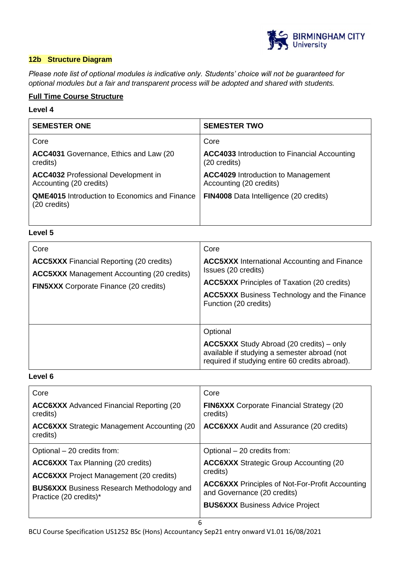

#### **12b Structure Diagram**

*Please note list of optional modules is indicative only. Students' choice will not be guaranteed for optional modules but a fair and transparent process will be adopted and shared with students.*

### **Full Time Course Structure**

#### **Level 4**

| <b>SEMESTER ONE</b>                                                   | <b>SEMESTER TWO</b>                                                  |
|-----------------------------------------------------------------------|----------------------------------------------------------------------|
| Core                                                                  | Core                                                                 |
| ACC4031 Governance, Ethics and Law (20)<br>credits)                   | <b>ACC4033</b> Introduction to Financial Accounting<br>(20 credits)  |
| <b>ACC4032 Professional Development in</b><br>Accounting (20 credits) | <b>ACC4029</b> Introduction to Management<br>Accounting (20 credits) |
| <b>QME4015</b> Introduction to Economics and Finance<br>(20 credits)  | <b>FIN4008</b> Data Intelligence (20 credits)                        |
|                                                                       |                                                                      |

### **Level 5**

| Core                                                                                                                                                  | Core                                                                                                                                                                                                            |
|-------------------------------------------------------------------------------------------------------------------------------------------------------|-----------------------------------------------------------------------------------------------------------------------------------------------------------------------------------------------------------------|
| <b>ACC5XXX</b> Financial Reporting (20 credits)<br><b>ACC5XXX</b> Management Accounting (20 credits)<br><b>FIN5XXX</b> Corporate Finance (20 credits) | <b>ACC5XXX</b> International Accounting and Finance<br>Issues (20 credits)<br><b>ACC5XXX</b> Principles of Taxation (20 credits)<br><b>ACC5XXX</b> Business Technology and the Finance<br>Function (20 credits) |
|                                                                                                                                                       | Optional<br><b>ACC5XXX</b> Study Abroad (20 credits) – only<br>available if studying a semester abroad (not<br>required if studying entire 60 credits abroad).                                                  |

### **Level 6**

| Core                                                                       | Core                                                                                  |
|----------------------------------------------------------------------------|---------------------------------------------------------------------------------------|
| <b>ACC6XXX</b> Advanced Financial Reporting (20)<br>credits)               | <b>FIN6XXX</b> Corporate Financial Strategy (20)<br>credits)                          |
| <b>ACC6XXX</b> Strategic Management Accounting (20)<br>credits)            | <b>ACC6XXX</b> Audit and Assurance (20 credits)                                       |
| Optional - 20 credits from:                                                | Optional – 20 credits from:                                                           |
| <b>ACC6XXX</b> Tax Planning (20 credits)                                   | <b>ACC6XXX Strategic Group Accounting (20)</b>                                        |
| <b>ACC6XXX</b> Project Management (20 credits)                             | credits)                                                                              |
| <b>BUS6XXX</b> Business Research Methodology and<br>Practice (20 credits)* | <b>ACC6XXX</b> Principles of Not-For-Profit Accounting<br>and Governance (20 credits) |
|                                                                            | <b>BUS6XXX</b> Business Advice Project                                                |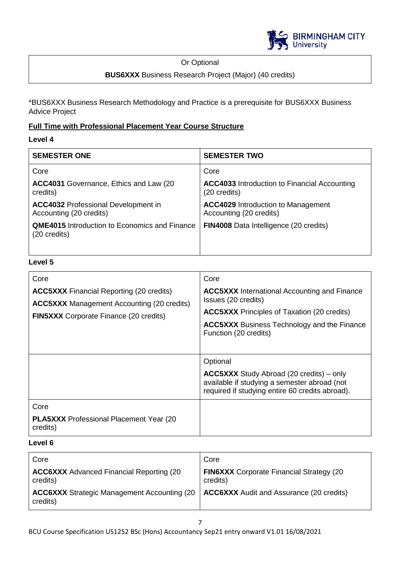

### Or Optional

### **BUS6XXX** Business Research Project (Major) (40 credits)

\*BUS6XXX Business Research Methodology and Practice is a prerequisite for BUS6XXX Business Advice Project

# **Full Time with Professional Placement Year Course Structure**

### **Level 4**

| <b>SEMESTER ONE</b>                                                   | <b>SEMESTER TWO</b>                                                  |
|-----------------------------------------------------------------------|----------------------------------------------------------------------|
| Core                                                                  | Core                                                                 |
| ACC4031 Governance, Ethics and Law (20)<br>credits)                   | <b>ACC4033</b> Introduction to Financial Accounting<br>(20 credits)  |
| <b>ACC4032 Professional Development in</b><br>Accounting (20 credits) | <b>ACC4029</b> Introduction to Management<br>Accounting (20 credits) |
| <b>QME4015</b> Introduction to Economics and Finance<br>(20 credits)  | <b>FIN4008</b> Data Intelligence (20 credits)                        |
|                                                                       |                                                                      |

### **Level 5**

| Core                                                                                                                                                  | Core                                                                                                                                                                                                            |
|-------------------------------------------------------------------------------------------------------------------------------------------------------|-----------------------------------------------------------------------------------------------------------------------------------------------------------------------------------------------------------------|
| <b>ACC5XXX</b> Financial Reporting (20 credits)<br><b>ACC5XXX</b> Management Accounting (20 credits)<br><b>FIN5XXX</b> Corporate Finance (20 credits) | <b>ACC5XXX</b> International Accounting and Finance<br>Issues (20 credits)<br><b>ACC5XXX</b> Principles of Taxation (20 credits)<br><b>ACC5XXX</b> Business Technology and the Finance<br>Function (20 credits) |
|                                                                                                                                                       | Optional<br><b>ACC5XXX</b> Study Abroad (20 credits) – only<br>available if studying a semester abroad (not<br>required if studying entire 60 credits abroad).                                                  |
| Core<br><b>PLA5XXX</b> Professional Placement Year (20<br>credits)                                                                                    |                                                                                                                                                                                                                 |

### **Level 6**

| Core                                                            | Core                                                        |
|-----------------------------------------------------------------|-------------------------------------------------------------|
| <b>ACC6XXX</b> Advanced Financial Reporting (20)<br>credits)    | <b>FIN6XXX</b> Corporate Financial Strategy (20<br>credits) |
| <b>ACC6XXX</b> Strategic Management Accounting (20)<br>credits) | <b>ACC6XXX</b> Audit and Assurance (20 credits)             |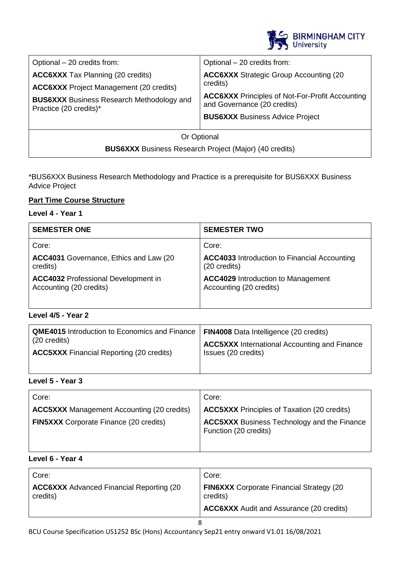

| Optional - 20 credits from:<br><b>ACC6XXX Tax Planning (20 credits)</b><br><b>ACC6XXX</b> Project Management (20 credits)<br><b>BUS6XXX</b> Business Research Methodology and<br>Practice (20 credits)* | Optional - 20 credits from:<br><b>ACC6XXX</b> Strategic Group Accounting (20<br>credits)<br><b>ACC6XXX</b> Principles of Not-For-Profit Accounting<br>and Governance (20 credits)<br><b>BUS6XXX</b> Business Advice Project |  |
|---------------------------------------------------------------------------------------------------------------------------------------------------------------------------------------------------------|-----------------------------------------------------------------------------------------------------------------------------------------------------------------------------------------------------------------------------|--|
|                                                                                                                                                                                                         |                                                                                                                                                                                                                             |  |
| Or Optional                                                                                                                                                                                             |                                                                                                                                                                                                                             |  |
| <b>BUS6XXX</b> Business Research Project (Major) (40 credits)                                                                                                                                           |                                                                                                                                                                                                                             |  |

### \*BUS6XXX Business Research Methodology and Practice is a prerequisite for BUS6XXX Business Advice Project

### **Part Time Course Structure**

### **Level 4 - Year 1**

| <b>SEMESTER ONE</b>                        | <b>SEMESTER TWO</b>                                 |
|--------------------------------------------|-----------------------------------------------------|
| Core:                                      | Core:                                               |
| ACC4031 Governance, Ethics and Law (20)    | <b>ACC4033</b> Introduction to Financial Accounting |
| credits)                                   | (20 credits)                                        |
| <b>ACC4032</b> Professional Development in | <b>ACC4029 Introduction to Management</b>           |
| Accounting (20 credits)                    | Accounting (20 credits)                             |

#### **Level 4/5 - Year 2**

| <b>QME4015</b> Introduction to Economics and Finance   FIN4008 Data Intelligence (20 credits)<br>$\vert$ (20 credits) | <b>ACC5XXX</b> International Accounting and Finance |
|-----------------------------------------------------------------------------------------------------------------------|-----------------------------------------------------|
| <b>ACC5XXX</b> Financial Reporting (20 credits)                                                                       | Issues (20 credits)                                 |

# **Level 5 - Year 3**

| Core:                                             | Core:                                                                       |
|---------------------------------------------------|-----------------------------------------------------------------------------|
| <b>ACC5XXX</b> Management Accounting (20 credits) | <b>ACC5XXX</b> Principles of Taxation (20 credits)                          |
| <b>FIN5XXX</b> Corporate Finance (20 credits)     | <b>ACC5XXX</b> Business Technology and the Finance<br>Function (20 credits) |

### **Level 6 - Year 4**

| Core:                                                       | Core:                                                                                                          |
|-------------------------------------------------------------|----------------------------------------------------------------------------------------------------------------|
| <b>ACC6XXX</b> Advanced Financial Reporting (20<br>credits) | <b>FIN6XXX</b> Corporate Financial Strategy (20<br>credits)<br><b>ACC6XXX</b> Audit and Assurance (20 credits) |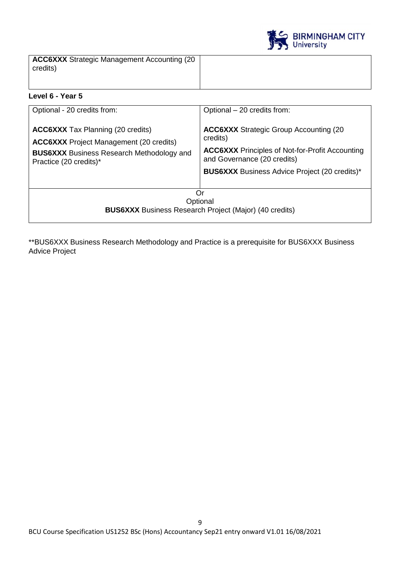

**ACC6XXX** Strategic Management Accounting (20 credits)

### **Level 6 - Year 5**

| Optional - 20 credits from:<br><b>ACC6XXX</b> Tax Planning (20 credits)<br><b>ACC6XXX</b> Project Management (20 credits)<br><b>BUS6XXX</b> Business Research Methodology and<br>Practice (20 credits)* | Optional - 20 credits from:<br><b>ACC6XXX Strategic Group Accounting (20)</b><br>credits)<br><b>ACC6XXX</b> Principles of Not-for-Profit Accounting<br>and Governance (20 credits)<br><b>BUS6XXX</b> Business Advice Project (20 credits)* |
|---------------------------------------------------------------------------------------------------------------------------------------------------------------------------------------------------------|--------------------------------------------------------------------------------------------------------------------------------------------------------------------------------------------------------------------------------------------|
| Or<br>Optional<br><b>BUS6XXX</b> Business Research Project (Major) (40 credits)                                                                                                                         |                                                                                                                                                                                                                                            |

\*\*BUS6XXX Business Research Methodology and Practice is a prerequisite for BUS6XXX Business Advice Project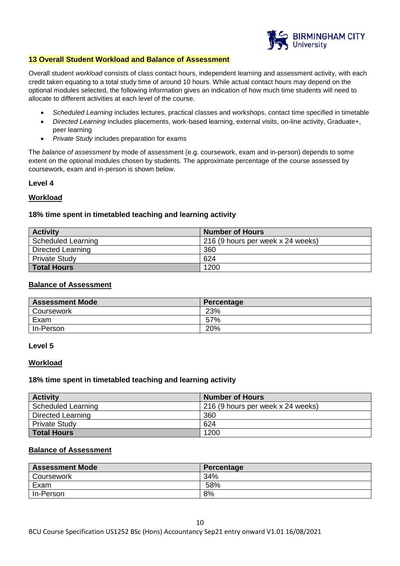

#### **13 Overall Student Workload and Balance of Assessment**

Overall student *workload* consists of class contact hours, independent learning and assessment activity, with each credit taken equating to a total study time of around 10 hours. While actual contact hours may depend on the optional modules selected, the following information gives an indication of how much time students will need to allocate to different activities at each level of the course.

- *Scheduled Learning* includes lectures, practical classes and workshops, contact time specified in timetable
- *Directed Learning* includes placements, work-based learning, external visits, on-line activity, Graduate+, peer learning
- *Private Study* includes preparation for exams

The *balance of assessment* by mode of assessment (e.g. coursework, exam and in-person) depends to some extent on the optional modules chosen by students. The approximate percentage of the course assessed by coursework, exam and in-person is shown below.

#### **Level 4**

#### **Workload**

#### **18% time spent in timetabled teaching and learning activity**

| <b>Activity</b>    | <b>Number of Hours</b>            |
|--------------------|-----------------------------------|
| Scheduled Learning | 216 (9 hours per week x 24 weeks) |
| Directed Learning  | 360                               |
| Private Study      | 624                               |
| <b>Total Hours</b> | 1200                              |

#### **Balance of Assessment**

| <b>Assessment Mode</b> | Percentage |
|------------------------|------------|
| Coursework             | 23%        |
| Exam                   | 57%        |
| In-Person              | 20%        |

#### **Level 5**

#### **Workload**

#### **18% time spent in timetabled teaching and learning activity**

| <b>Activity</b>      | <b>Number of Hours</b>            |
|----------------------|-----------------------------------|
| Scheduled Learning   | 216 (9 hours per week x 24 weeks) |
| Directed Learning    | 360                               |
| <b>Private Study</b> | 624                               |
| <b>Total Hours</b>   | 1200                              |

#### **Balance of Assessment**

| <b>Assessment Mode</b> | Percentage |
|------------------------|------------|
| Coursework             | 34%        |
| Exam                   | 58%        |
| In-Person              | 8%         |